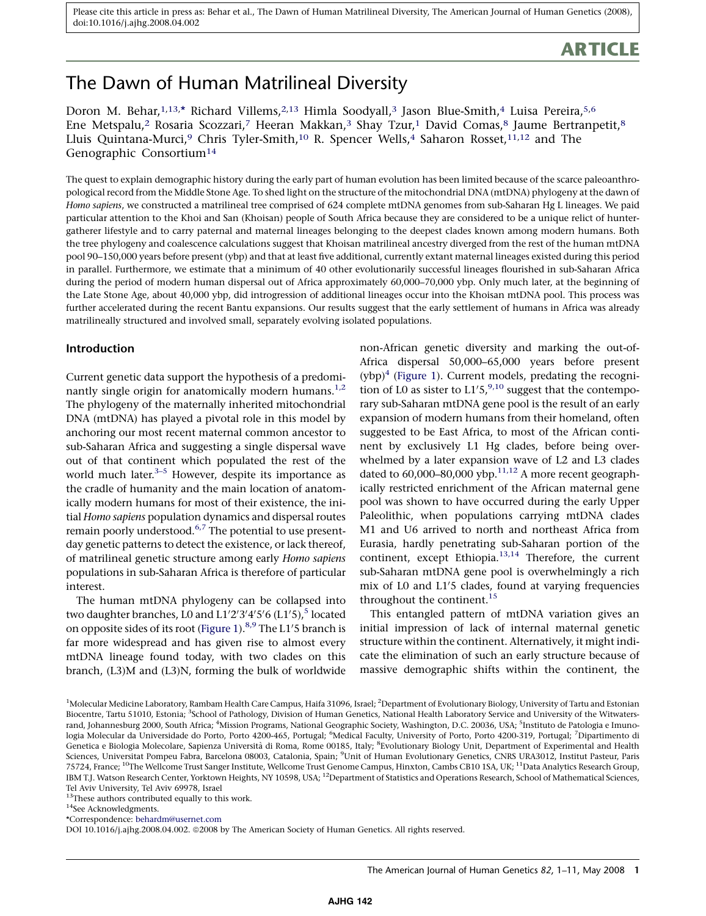# **ARTICLE**

# The Dawn of Human Matrilineal Diversity

Doron M. Behar,<sup>1,13,\*</sup> Richard Villems,<sup>2,13</sup> Himla Soodyall,<sup>3</sup> Jason Blue-Smith,<sup>4</sup> Luisa Pereira,<sup>5,6</sup> Ene Metspalu,<sup>2</sup> Rosaria Scozzari,<sup>7</sup> Heeran Makkan,<sup>3</sup> Shay Tzur,<sup>1</sup> David Comas,<sup>8</sup> Jaume Bertranpetit,<sup>8</sup> Lluis Quintana-Murci,<sup>9</sup> Chris Tyler-Smith,<sup>10</sup> R. Spencer Wells,<sup>4</sup> Saharon Rosset,<sup>11,12</sup> and The Genographic Consortium14

The quest to explain demographic history during the early part of human evolution has been limited because of the scarce paleoanthropological record from the Middle Stone Age. To shed light on the structure of the mitochondrial DNA (mtDNA) phylogeny at the dawn of Homo sapiens, we constructed a matrilineal tree comprised of 624 complete mtDNA genomes from sub-Saharan Hg L lineages. We paid particular attention to the Khoi and San (Khoisan) people of South Africa because they are considered to be a unique relict of huntergatherer lifestyle and to carry paternal and maternal lineages belonging to the deepest clades known among modern humans. Both the tree phylogeny and coalescence calculations suggest that Khoisan matrilineal ancestry diverged from the rest of the human mtDNA pool 90–150,000 years before present (ybp) and that at least five additional, currently extant maternal lineages existed during this period in parallel. Furthermore, we estimate that a minimum of 40 other evolutionarily successful lineages flourished in sub-Saharan Africa during the period of modern human dispersal out of Africa approximately 60,000–70,000 ybp. Only much later, at the beginning of the Late Stone Age, about 40,000 ybp, did introgression of additional lineages occur into the Khoisan mtDNA pool. This process was further accelerated during the recent Bantu expansions. Our results suggest that the early settlement of humans in Africa was already matrilineally structured and involved small, separately evolving isolated populations.

# Introduction

Current genetic data support the hypothesis of a predomi-nantly single origin for anatomically modern humans.<sup>[1,2](#page-9-0)</sup> The phylogeny of the maternally inherited mitochondrial DNA (mtDNA) has played a pivotal role in this model by anchoring our most recent maternal common ancestor to sub-Saharan Africa and suggesting a single dispersal wave out of that continent which populated the rest of the world much later. $3-5$  However, despite its importance as the cradle of humanity and the main location of anatomically modern humans for most of their existence, the initial Homo sapiens population dynamics and dispersal routes remain poorly understood.<sup>[6,7](#page-9-0)</sup> The potential to use presentday genetic patterns to detect the existence, or lack thereof, of matrilineal genetic structure among early Homo sapiens populations in sub-Saharan Africa is therefore of particular interest.

The human mtDNA phylogeny can be collapsed into two daughter branches, L0 and  $L1'2'3'4'5'6$  $L1'2'3'4'5'6$  $L1'2'3'4'5'6$  (L1′5), $^5$  located on opposite sides of its root ([Figure 1](#page-1-0)).<sup>[8,9](#page-9-0)</sup> The L1'5 branch is far more widespread and has given rise to almost every mtDNA lineage found today, with two clades on this branch, (L3)M and (L3)N, forming the bulk of worldwide non-African genetic diversity and marking the out-of-Africa dispersal 50,000–65,000 years before present  $(ybp)^4$  [\(Figure 1](#page-1-0)). Current models, predating the recognition of L0 as sister to  $L1'5$ ,  $9,10$  suggest that the contemporary sub-Saharan mtDNA gene pool is the result of an early expansion of modern humans from their homeland, often suggested to be East Africa, to most of the African continent by exclusively L1 Hg clades, before being overwhelmed by a later expansion wave of L2 and L3 clades dated to  $60,000$ – $80,000$  ybp.<sup>11,12</sup> A more recent geographically restricted enrichment of the African maternal gene pool was shown to have occurred during the early Upper Paleolithic, when populations carrying mtDNA clades M1 and U6 arrived to north and northeast Africa from Eurasia, hardly penetrating sub-Saharan portion of the continent, except Ethiopia. $13,14$  Therefore, the current sub-Saharan mtDNA gene pool is overwhelmingly a rich mix of L0 and L1'5 clades, found at varying frequencies throughout the continent.<sup>[15](#page-9-0)</sup>

This entangled pattern of mtDNA variation gives an initial impression of lack of internal maternal genetic structure within the continent. Alternatively, it might indicate the elimination of such an early structure because of massive demographic shifts within the continent, the

 $^{13}$  These authors contributed equally to this work.

<sup>14</sup>See Acknowledgments.

\*Correspondence: [behardm@usernet.com](mailto:behardm@usernet.com)

DOI 10.1016/j.ajhg.2008.04.002. @2008 by The American Society of Human Genetics. All rights reserved.

The American Journal of Human Genetics 82, 1–11, May 2008 1

<sup>&</sup>lt;sup>1</sup>Molecular Medicine Laboratory, Rambam Health Care Campus, Haifa 31096, Israel; <sup>2</sup>Department of Evolutionary Biology, University of Tartu and Estonian Biocentre, Tartu 51010, Estonia; <sup>3</sup>School of Pathology, Division of Human Genetics, National Health Laboratory Service and University of the Witwatersrand, Johannesburg 2000, South Africa; <sup>4</sup>Mission Programs, National Geographic Society, Washington, D.C. 20036, USA; <sup>5</sup>Instituto de Patologia e Imunologia Molecular da Universidade do Porto, Porto 4200-465, Portugal; <sup>6</sup>Medical Faculty, University of Porto, Porto 4200-319, Portugal; <sup>7</sup>Dipartimento di Genetica e Biologia Molecolare, Sapienza Università di Roma, Rome 00185, Italy; <sup>8</sup>Evolutionary Biology Unit, Department of Experimental and Health Sciences, Universitat Pompeu Fabra, Barcelona 08003, Catalonia, Spain; <sup>9</sup>Unit of Human Evolutionary Genetics, CNRS URA3012, Institut Pasteur, Paris 75724, France; 10The Wellcome Trust Sanger Institute, Wellcome Trust Genome Campus, Hinxton, Cambs CB10 1SA, UK; 11Data Analytics Research Group, IBM T.J. Watson Research Center, Yorktown Heights, NY 10598, USA; 12Department of Statistics and Operations Research, School of Mathematical Sciences, Tel Aviv University, Tel Aviv 69978, Israel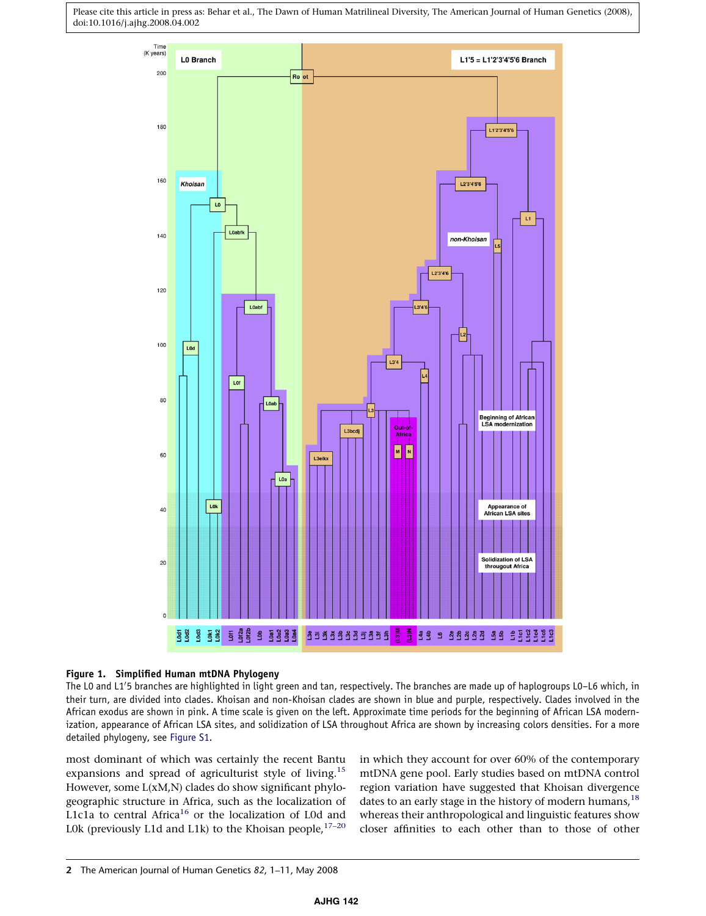<span id="page-1-0"></span>

#### Figure 1. Simplified Human mtDNA Phylogeny

The L0 and L1'5 branches are highlighted in light green and tan, respectively. The branches are made up of haplogroups L0–L6 which, in their turn, are divided into clades. Khoisan and non-Khoisan clades are shown in blue and purple, respectively. Clades involved in the African exodus are shown in pink. A time scale is given on the left. Approximate time periods for the beginning of African LSA modernization, appearance of African LSA sites, and solidization of LSA throughout Africa are shown by increasing colors densities. For a more detailed phylogeny, see Figure S1.

most dominant of which was certainly the recent Bantu expansions and spread of agriculturist style of living.<sup>[15](#page-9-0)</sup> However, some L(xM,N) clades do show significant phylogeographic structure in Africa, such as the localization of L1c1a to central Africa<sup>[16](#page-9-0)</sup> or the localization of L0d and L0k (previously L1d and L1k) to the Khoisan people, $17-20$ 

in which they account for over 60% of the contemporary mtDNA gene pool. Early studies based on mtDNA control region variation have suggested that Khoisan divergence dates to an early stage in the history of modern humans,  $^{18}$  $^{18}$  $^{18}$ whereas their anthropological and linguistic features show closer affinities to each other than to those of other

<sup>2</sup> The American Journal of Human Genetics 82, 1–11, May 2008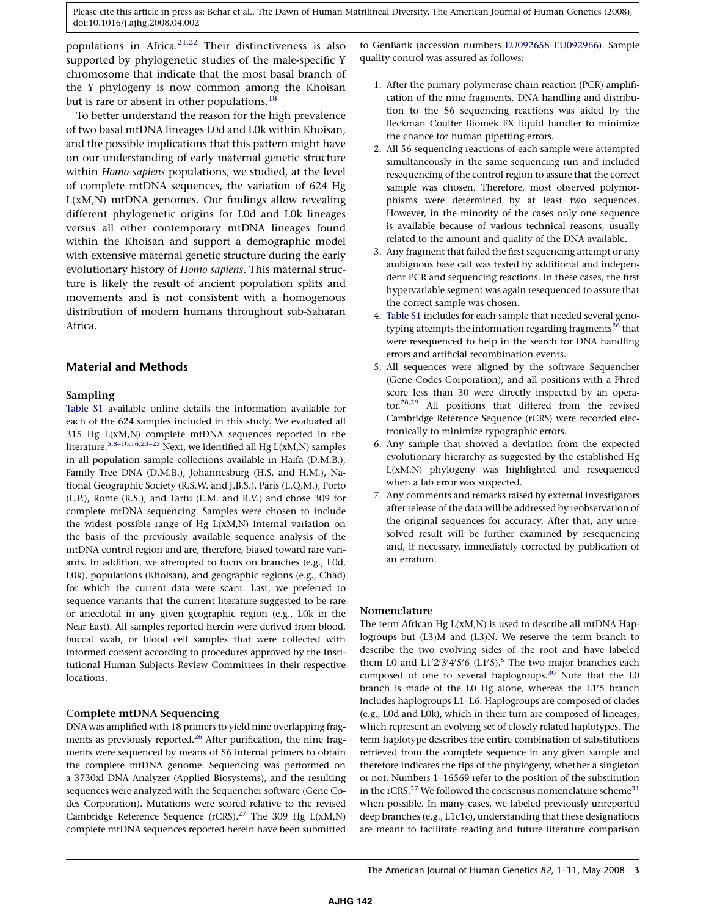<span id="page-2-0"></span>populations in Africa.<sup>[21,22](#page-9-0)</sup> Their distinctiveness is also supported by phylogenetic studies of the male-specific Y chromosome that indicate that the most basal branch of the Y phylogeny is now common among the Khoisan but is rare or absent in other populations.<sup>18</sup>

To better understand the reason for the high prevalence of two basal mtDNA lineages L0d and L0k within Khoisan, and the possible implications that this pattern might have on our understanding of early maternal genetic structure within Homo sapiens populations, we studied, at the level of complete mtDNA sequences, the variation of 624 Hg L(xM,N) mtDNA genomes. Our findings allow revealing different phylogenetic origins for L0d and L0k lineages versus all other contemporary mtDNA lineages found within the Khoisan and support a demographic model with extensive maternal genetic structure during the early evolutionary history of Homo sapiens. This maternal structure is likely the result of ancient population splits and movements and is not consistent with a homogenous distribution of modern humans throughout sub-Saharan Africa.

# Material and Methods

#### Sampling

Table S1 available online details the information available for each of the 624 samples included in this study. We evaluated all 315 Hg L(xM,N) complete mtDNA sequences reported in the literature.<sup>5,8-10,16,23-25</sup> Next, we identified all Hg L(xM,N) samples in all population sample collections available in Haifa (D.M.B.), Family Tree DNA (D.M.B.), Johannesburg (H.S. and H.M.), National Geographic Society (R.S.W. and J.B.S.), Paris (L.Q.M.), Porto (L.P.), Rome (R.S.), and Tartu (E.M. and R.V.) and chose 309 for complete mtDNA sequencing. Samples were chosen to include the widest possible range of Hg  $L(xM,N)$  internal variation on the basis of the previously available sequence analysis of the mtDNA control region and are, therefore, biased toward rare variants. In addition, we attempted to focus on branches (e.g., L0d, L0k), populations (Khoisan), and geographic regions (e.g., Chad) for which the current data were scant. Last, we preferred to sequence variants that the current literature suggested to be rare or anecdotal in any given geographic region (e.g., L0k in the Near East). All samples reported herein were derived from blood, buccal swab, or blood cell samples that were collected with informed consent according to procedures approved by the Institutional Human Subjects Review Committees in their respective locations.

# Complete mtDNA Sequencing

DNA was amplified with 18 primers to yield nine overlapping fragments as previously reported.<sup>26</sup> After purification, the nine fragments were sequenced by means of 56 internal primers to obtain the complete mtDNA genome. Sequencing was performed on a 3730xl DNA Analyzer (Applied Biosystems), and the resulting sequences were analyzed with the Sequencher software (Gene Codes Corporation). Mutations were scored relative to the revised Cambridge Reference Sequence (rCRS).<sup>[27](#page-10-0)</sup> The 309 Hg  $L(xM,N)$ complete mtDNA sequences reported herein have been submitted

to GenBank (accession numbers [EU092658–EU092966\)](www.ncbi.nlm.nih.gov). Sample quality control was assured as follows:

- 1. After the primary polymerase chain reaction (PCR) amplification of the nine fragments, DNA handling and distribution to the 56 sequencing reactions was aided by the Beckman Coulter Biomek FX liquid handler to minimize the chance for human pipetting errors.
- 2. All 56 sequencing reactions of each sample were attempted simultaneously in the same sequencing run and included resequencing of the control region to assure that the correct sample was chosen. Therefore, most observed polymorphisms were determined by at least two sequences. However, in the minority of the cases only one sequence is available because of various technical reasons, usually related to the amount and quality of the DNA available.
- 3. Any fragment that failed the first sequencing attempt or any ambiguous base call was tested by additional and independent PCR and sequencing reactions. In these cases, the first hypervariable segment was again resequenced to assure that the correct sample was chosen.
- 4. Table S1 includes for each sample that needed several geno-typing attempts the information regarding fragments<sup>[26](#page-9-0)</sup> that were resequenced to help in the search for DNA handling errors and artificial recombination events.
- 5. All sequences were aligned by the software Sequencher (Gene Codes Corporation), and all positions with a Phred score less than 30 were directly inspected by an operator.[28,29](#page-10-0) All positions that differed from the revised Cambridge Reference Sequence (rCRS) were recorded electronically to minimize typographic errors.
- 6. Any sample that showed a deviation from the expected evolutionary hierarchy as suggested by the established Hg L(xM,N) phylogeny was highlighted and resequenced when a lab error was suspected.
- 7. Any comments and remarks raised by external investigators after release of the data will be addressed by reobservation of the original sequences for accuracy. After that, any unresolved result will be further examined by resequencing and, if necessary, immediately corrected by publication of an erratum.

# Nomenclature

The term African Hg L(xM,N) is used to describe all mtDNA Haplogroups but (L3)M and (L3)N. We reserve the term branch to describe the two evolving sides of the root and have labeled them L0 and  $L1'2'3'4'5'6$  (L1'5).<sup>5</sup> The two major branches each composed of one to several haplogroups.<sup>30</sup> Note that the L0 branch is made of the L0 Hg alone, whereas the L1'5 branch includes haplogroups L1–L6. Haplogroups are composed of clades (e.g., L0d and L0k), which in their turn are composed of lineages, which represent an evolving set of closely related haplotypes. The term haplotype describes the entire combination of substitutions retrieved from the complete sequence in any given sample and therefore indicates the tips of the phylogeny, whether a singleton or not. Numbers 1–16569 refer to the position of the substitution in the rCRS.<sup>[27](#page-10-0)</sup> We followed the consensus nomenclature scheme<sup>[31](#page-10-0)</sup> when possible. In many cases, we labeled previously unreported deep branches (e.g., L1c1c), understanding that these designations are meant to facilitate reading and future literature comparison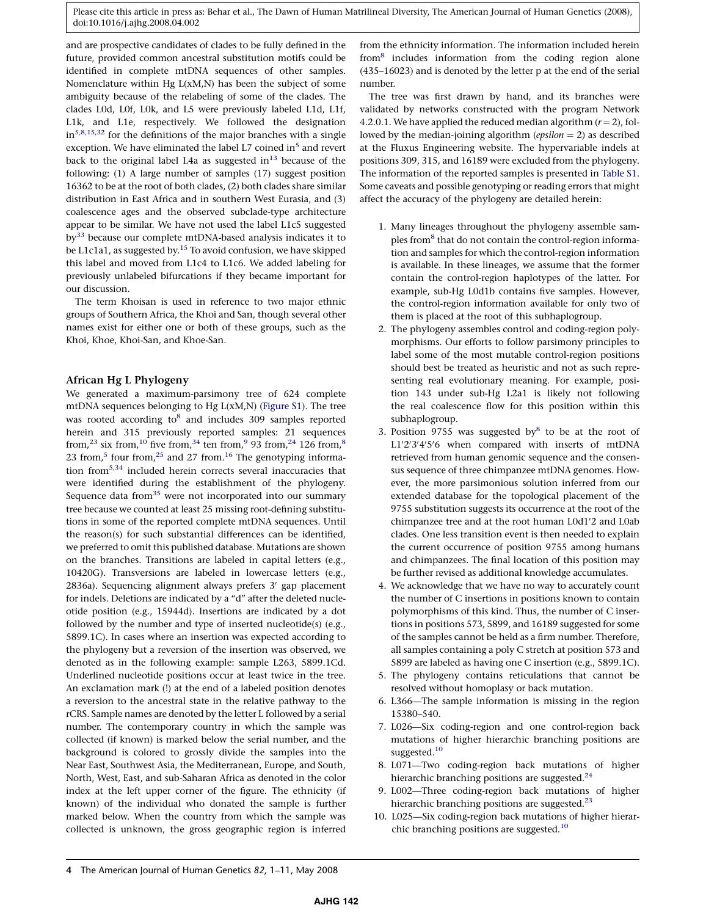and are prospective candidates of clades to be fully defined in the future, provided common ancestral substitution motifs could be identified in complete mtDNA sequences of other samples. Nomenclature within Hg  $L(xM,N)$  has been the subject of some ambiguity because of the relabeling of some of the clades. The clades L0d, L0f, L0k, and L5 were previously labeled L1d, L1f, L1k, and L1e, respectively. We followed the designation  $in<sup>5,8,15,32</sup>$  $in<sup>5,8,15,32</sup>$  $in<sup>5,8,15,32</sup>$  for the definitions of the major branches with a single exception. We have eliminated the label L7 coined in<sup>[5](#page-9-0)</sup> and revert back to the original label L4a as suggested in $^{13}$  because of the following: (1) A large number of samples (17) suggest position 16362 to be at the root of both clades, (2) both clades share similar distribution in East Africa and in southern West Eurasia, and (3) coalescence ages and the observed subclade-type architecture appear to be similar. We have not used the label L1c5 suggested by<sup>33</sup> because our complete mtDNA-based analysis indicates it to be L1c1a1, as suggested by.<sup>[15](#page-9-0)</sup> To avoid confusion, we have skipped this label and moved from L1c4 to L1c6. We added labeling for previously unlabeled bifurcations if they became important for our discussion.

The term Khoisan is used in reference to two major ethnic groups of Southern Africa, the Khoi and San, though several other names exist for either one or both of these groups, such as the Khoi, Khoe, Khoi-San, and Khoe-San.

#### African Hg L Phylogeny

We generated a maximum-parsimony tree of 624 complete mtDNA sequences belonging to Hg L(xM,N) (Figure S1). The tree was rooted according to<sup>[8](#page-9-0)</sup> and includes 309 samples reported herein and 315 previously reported samples: 21 sequences from,<sup>23</sup> six from,<sup>[10](#page-9-0)</sup> five from,<sup>34</sup> ten from,<sup>9</sup> 93 from,<sup>24</sup> 126 from,<sup>8</sup> 23 from,<sup>[5](#page-9-0)</sup> four from,<sup>25</sup> and 27 from.<sup>16</sup> The genotyping information fro[m5,34](#page-9-0) included herein corrects several inaccuracies that were identified during the establishment of the phylogeny. Sequence data from $35$  were not incorporated into our summary tree because we counted at least 25 missing root-defining substitutions in some of the reported complete mtDNA sequences. Until the reason(s) for such substantial differences can be identified, we preferred to omit this published database. Mutations are shown on the branches. Transitions are labeled in capital letters (e.g., 10420G). Transversions are labeled in lowercase letters (e.g.,  $2836a$ ). Sequencing alignment always prefers  $3'$  gap placement for indels. Deletions are indicated by a ''d'' after the deleted nucleotide position (e.g., 15944d). Insertions are indicated by a dot followed by the number and type of inserted nucleotide(s) (e.g., 5899.1C). In cases where an insertion was expected according to the phylogeny but a reversion of the insertion was observed, we denoted as in the following example: sample L263, 5899.1Cd. Underlined nucleotide positions occur at least twice in the tree. An exclamation mark (!) at the end of a labeled position denotes a reversion to the ancestral state in the relative pathway to the rCRS. Sample names are denoted by the letter L followed by a serial number. The contemporary country in which the sample was collected (if known) is marked below the serial number, and the background is colored to grossly divide the samples into the Near East, Southwest Asia, the Mediterranean, Europe, and South, North, West, East, and sub-Saharan Africa as denoted in the color index at the left upper corner of the figure. The ethnicity (if known) of the individual who donated the sample is further marked below. When the country from which the sample was collected is unknown, the gross geographic region is inferred

from the ethnicity information. The information included herein fro[m8](#page-9-0) includes information from the coding region alone (435–16023) and is denoted by the letter p at the end of the serial number.

The tree was first drawn by hand, and its branches were validated by networks constructed with the program Network 4.2.0.1. We have applied the reduced median algorithm  $(r = 2)$ , followed by the median-joining algorithm (epsilon  $= 2$ ) as described at the Fluxus Engineering website. The hypervariable indels at positions 309, 315, and 16189 were excluded from the phylogeny. The information of the reported samples is presented in Table S1. Some caveats and possible genotyping or reading errors that might affect the accuracy of the phylogeny are detailed herein:

- 1. Many lineages throughout the phylogeny assemble samples from<sup>8</sup> that do not contain the control-region information and samples for which the control-region information is available. In these lineages, we assume that the former contain the control-region haplotypes of the latter. For example, sub-Hg L0d1b contains five samples. However, the control-region information available for only two of them is placed at the root of this subhaplogroup.
- 2. The phylogeny assembles control and coding-region polymorphisms. Our efforts to follow parsimony principles to label some of the most mutable control-region positions should best be treated as heuristic and not as such representing real evolutionary meaning. For example, position 143 under sub-Hg L2a1 is likely not following the real coalescence flow for this position within this subhaplogroup.
- 3. Position 9755 was suggested by $8$  to be at the root of L1'2'3'4'5'6 when compared with inserts of mtDNA retrieved from human genomic sequence and the consensus sequence of three chimpanzee mtDNA genomes. However, the more parsimonious solution inferred from our extended database for the topological placement of the 9755 substitution suggests its occurrence at the root of the chimpanzee tree and at the root human L0d1'2 and L0ab clades. One less transition event is then needed to explain the current occurrence of position 9755 among humans and chimpanzees. The final location of this position may be further revised as additional knowledge accumulates.
- 4. We acknowledge that we have no way to accurately count the number of C insertions in positions known to contain polymorphisms of this kind. Thus, the number of C insertions in positions 573, 5899, and 16189 suggested for some of the samples cannot be held as a firm number. Therefore, all samples containing a poly C stretch at position 573 and 5899 are labeled as having one C insertion (e.g., 5899.1C).
- 5. The phylogeny contains reticulations that cannot be resolved without homoplasy or back mutation.
- 6. L366—The sample information is missing in the region 15380–540.
- 7. L026—Six coding-region and one control-region back mutations of higher hierarchic branching positions are suggested.<sup>[10](#page-9-0)</sup>
- 8. L071—Two coding-region back mutations of higher hierarchic branching positions are suggested. $24$
- 9. L002—Three coding-region back mutations of higher hierarchic branching positions are suggested.<sup>[23](#page-9-0)</sup>
- 10. L025—Six coding-region back mutations of higher hierarchic branching positions are suggested.[10](#page-9-0)

<sup>4</sup> The American Journal of Human Genetics 82, 1–11, May 2008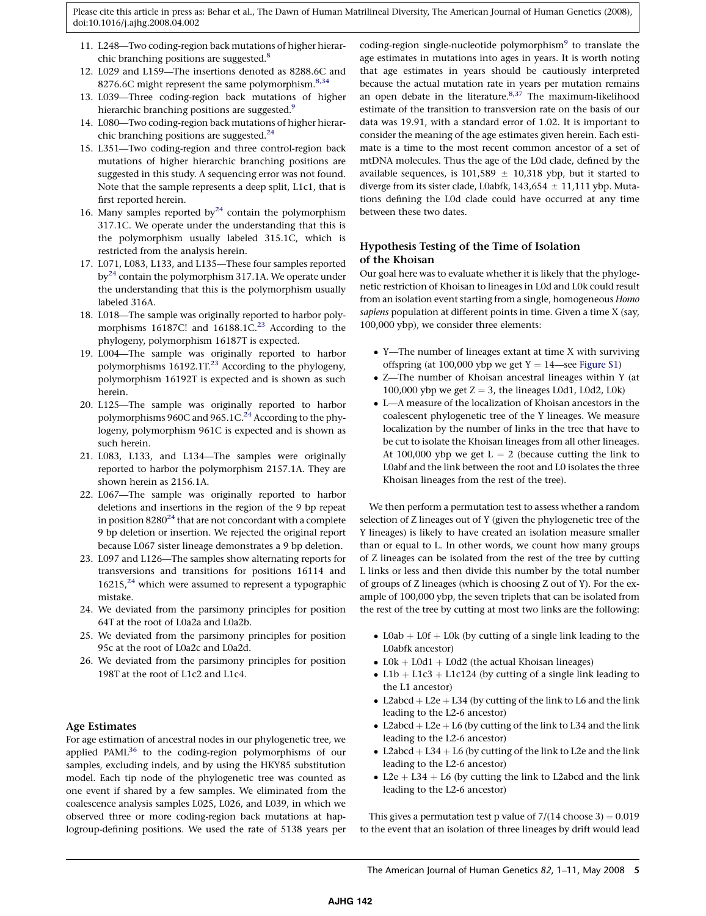- 11. L248—Two coding-region back mutations of higher hierar-chic branching positions are suggested.<sup>[8](#page-9-0)</sup>
- 12. L029 and L159—The insertions denoted as 8288.6C and 8276.6C might represent the same polymorphism.<sup>[8,34](#page-9-0)</sup>
- 13. L039—Three coding-region back mutations of higher hierarchic branching positions are suggested.<sup>9</sup>
- 14. L080—Two coding-region back mutations of higher hierar-chic branching positions are suggested.<sup>[24](#page-9-0)</sup>
- 15. L351—Two coding-region and three control-region back mutations of higher hierarchic branching positions are suggested in this study. A sequencing error was not found. Note that the sample represents a deep split, L1c1, that is first reported herein.
- 16. Many samples reported by<sup>[24](#page-9-0)</sup> contain the polymorphism 317.1C. We operate under the understanding that this is the polymorphism usually labeled 315.1C, which is restricted from the analysis herein.
- 17. L071, L083, L133, and L135—These four samples reported by<sup>[24](#page-9-0)</sup> contain the polymorphism 317.1A. We operate under the understanding that this is the polymorphism usually labeled 316A.
- 18. L018—The sample was originally reported to harbor polymorphisms 16187C! and  $16188.1C^{23}$  $16188.1C^{23}$  $16188.1C^{23}$  According to the phylogeny, polymorphism 16187T is expected.
- 19. L004—The sample was originally reported to harbor polymorphisms 16192.1T.<sup>23</sup> According to the phylogeny, polymorphism 16192T is expected and is shown as such herein.
- 20. L125—The sample was originally reported to harbor polymorphisms 960C and 965.1C.<sup>24</sup> According to the phylogeny, polymorphism 961C is expected and is shown as such herein.
- 21. L083, L133, and L134—The samples were originally reported to harbor the polymorphism 2157.1A. They are shown herein as 2156.1A.
- 22. L067—The sample was originally reported to harbor deletions and insertions in the region of the 9 bp repeat in position  $8280^{24}$  $8280^{24}$  $8280^{24}$  that are not concordant with a complete 9 bp deletion or insertion. We rejected the original report because L067 sister lineage demonstrates a 9 bp deletion.
- 23. L097 and L126—The samples show alternating reports for transversions and transitions for positions 16114 and  $16215<sup>24</sup>$  $16215<sup>24</sup>$  $16215<sup>24</sup>$  which were assumed to represent a typographic mistake.
- 24. We deviated from the parsimony principles for position 64T at the root of L0a2a and L0a2b.
- 25. We deviated from the parsimony principles for position 95c at the root of L0a2c and L0a2d.
- 26. We deviated from the parsimony principles for position 198T at the root of L1c2 and L1c4.

#### Age Estimates

For age estimation of ancestral nodes in our phylogenetic tree, we applied PAML<sup>36</sup> to the coding-region polymorphisms of our samples, excluding indels, and by using the HKY85 substitution model. Each tip node of the phylogenetic tree was counted as one event if shared by a few samples. We eliminated from the coalescence analysis samples L025, L026, and L039, in which we observed three or more coding-region back mutations at haplogroup-defining positions. We used the rate of 5138 years per coding-region single-nucleotide polymorphism<sup>9</sup> to translate the age estimates in mutations into ages in years. It is worth noting that age estimates in years should be cautiously interpreted because the actual mutation rate in years per mutation remains an open debate in the literature. $8,37$  The maximum-likelihood estimate of the transition to transversion rate on the basis of our data was 19.91, with a standard error of 1.02. It is important to consider the meaning of the age estimates given herein. Each estimate is a time to the most recent common ancestor of a set of mtDNA molecules. Thus the age of the L0d clade, defined by the available sequences, is 101,589  $\pm$  10,318 ybp, but it started to diverge from its sister clade, L0abfk,  $143,654 \pm 11,111$  ybp. Mutations defining the L0d clade could have occurred at any time between these two dates.

# Hypothesis Testing of the Time of Isolation of the Khoisan

Our goal here was to evaluate whether it is likely that the phylogenetic restriction of Khoisan to lineages in L0d and L0k could result from an isolation event starting from a single, homogeneous Homo sapiens population at different points in time. Given a time X (say, 100,000 ybp), we consider three elements:

- Y—The number of lineages extant at time X with surviving offspring (at 100,000 ybp we get  $Y = 14$ —see Figure S1)
- Z—The number of Khoisan ancestral lineages within Y (at 100,000 ybp we get  $Z = 3$ , the lineages L0d1, L0d2, L0k)
- L—A measure of the localization of Khoisan ancestors in the coalescent phylogenetic tree of the Y lineages. We measure localization by the number of links in the tree that have to be cut to isolate the Khoisan lineages from all other lineages. At 100,000 ybp we get  $L = 2$  (because cutting the link to L0abf and the link between the root and L0 isolates the three Khoisan lineages from the rest of the tree).

We then perform a permutation test to assess whether a random selection of Z lineages out of Y (given the phylogenetic tree of the Y lineages) is likely to have created an isolation measure smaller than or equal to L. In other words, we count how many groups of Z lineages can be isolated from the rest of the tree by cutting L links or less and then divide this number by the total number of groups of Z lineages (which is choosing Z out of Y). For the example of 100,000 ybp, the seven triplets that can be isolated from the rest of the tree by cutting at most two links are the following:

- L0ab  $+$  L0f  $+$  L0k (by cutting of a single link leading to the L0abfk ancestor)
- $L0k + L0d1 + L0d2$  (the actual Khoisan lineages)
- L1b + L1c3 + L1c124 (by cutting of a single link leading to the L1 ancestor)
- L2abcd + L2e + L34 (by cutting of the link to L6 and the link leading to the L2-6 ancestor)
- L2abcd + L2e + L6 (by cutting of the link to L34 and the link leading to the L2-6 ancestor)
- L2abcd  $+$  L34  $+$  L6 (by cutting of the link to L2e and the link leading to the L2-6 ancestor)
- L2e + L34 + L6 (by cutting the link to L2abcd and the link leading to the L2-6 ancestor)

This gives a permutation test p value of  $7/(14 \text{ choose } 3) = 0.019$ to the event that an isolation of three lineages by drift would lead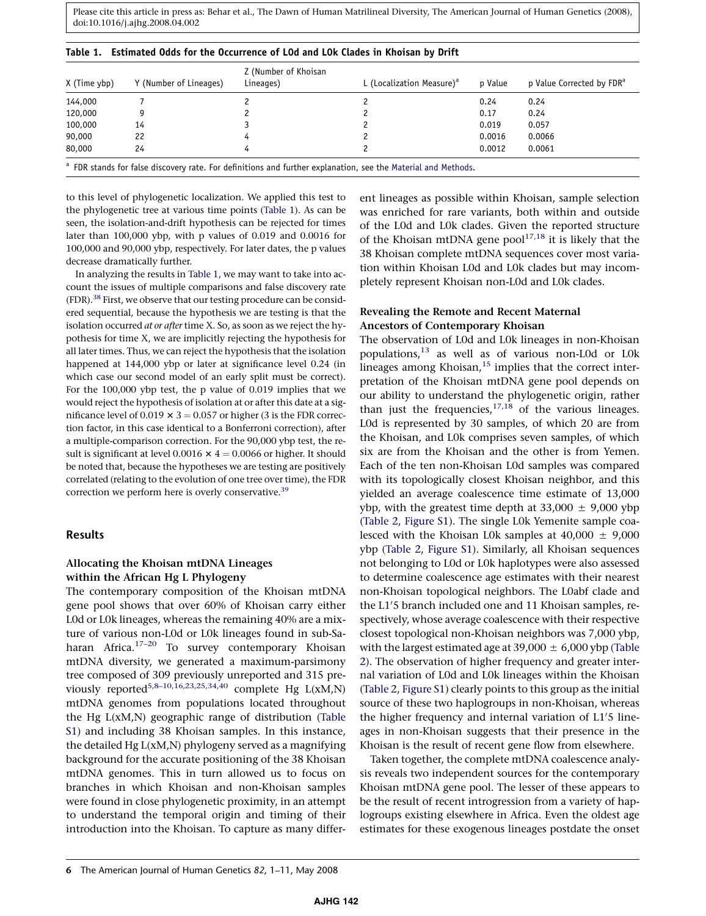| Y (Number of Lineages) | Z (Number of Khoisan<br>Lineages) | L (Localization Measure) <sup>a</sup> | p Value | p Value Corrected by FDR <sup>a</sup> |
|------------------------|-----------------------------------|---------------------------------------|---------|---------------------------------------|
|                        |                                   |                                       | 0.24    | 0.24                                  |
|                        |                                   |                                       | 0.17    | 0.24                                  |
| 14                     |                                   |                                       | 0.019   | 0.057                                 |
| 22                     |                                   |                                       | 0.0016  | 0.0066                                |
| 24                     |                                   |                                       | 0.0012  | 0.0061                                |
|                        |                                   |                                       |         |                                       |

# <span id="page-5-0"></span>Table 1. Estimated Odds for the Occurrence of L0d and L0k Clades in Khoisan by Drift

FDR stands for false discovery rate. For definitions and further explanation, see the [Material and Methods.](#page-2-0)

to this level of phylogenetic localization. We applied this test to the phylogenetic tree at various time points (Table 1). As can be seen, the isolation-and-drift hypothesis can be rejected for times later than 100,000 ybp, with p values of 0.019 and 0.0016 for 100,000 and 90,000 ybp, respectively. For later dates, the p values decrease dramatically further.

In analyzing the results in Table 1, we may want to take into account the issues of multiple comparisons and false discovery rate (FDR)[.38](#page-10-0) First, we observe that our testing procedure can be considered sequential, because the hypothesis we are testing is that the isolation occurred at or after time X. So, as soon as we reject the hypothesis for time X, we are implicitly rejecting the hypothesis for all later times. Thus, we can reject the hypothesis that the isolation happened at 144,000 ybp or later at significance level 0.24 (in which case our second model of an early split must be correct). For the 100,000 ybp test, the p value of 0.019 implies that we would reject the hypothesis of isolation at or after this date at a significance level of 0.019  $\times$  3 = 0.057 or higher (3 is the FDR correction factor, in this case identical to a Bonferroni correction), after a multiple-comparison correction. For the 90,000 ybp test, the result is significant at level 0.0016  $\times$  4 = 0.0066 or higher. It should be noted that, because the hypotheses we are testing are positively correlated (relating to the evolution of one tree over time), the FDR correction we perform here is overly conservative.<sup>39</sup>

#### Results

#### Allocating the Khoisan mtDNA Lineages within the African Hg L Phylogeny

The contemporary composition of the Khoisan mtDNA gene pool shows that over 60% of Khoisan carry either L0d or L0k lineages, whereas the remaining 40% are a mixture of various non-L0d or L0k lineages found in sub-Saharan Africa.<sup>17-20</sup> To survey contemporary Khoisan mtDNA diversity, we generated a maximum-parsimony tree composed of 309 previously unreported and 315 previously reported<sup>5,8–10,16,23,25,34,40</sup> complete Hg  $L(xM,N)$ mtDNA genomes from populations located throughout the Hg L(xM,N) geographic range of distribution (Table S1) and including 38 Khoisan samples. In this instance, the detailed Hg L(xM,N) phylogeny served as a magnifying background for the accurate positioning of the 38 Khoisan mtDNA genomes. This in turn allowed us to focus on branches in which Khoisan and non-Khoisan samples were found in close phylogenetic proximity, in an attempt to understand the temporal origin and timing of their introduction into the Khoisan. To capture as many different lineages as possible within Khoisan, sample selection was enriched for rare variants, both within and outside of the L0d and L0k clades. Given the reported structure of the Khoisan mtDNA gene  $pool^{17,18}$  $pool^{17,18}$  $pool^{17,18}$  it is likely that the 38 Khoisan complete mtDNA sequences cover most variation within Khoisan L0d and L0k clades but may incompletely represent Khoisan non-L0d and L0k clades.

# Revealing the Remote and Recent Maternal Ancestors of Contemporary Khoisan

The observation of L0d and L0k lineages in non-Khoisan populations[,13](#page-9-0) as well as of various non-L0d or L0k lineages among Khoisan, $15$  implies that the correct interpretation of the Khoisan mtDNA gene pool depends on our ability to understand the phylogenetic origin, rather than just the frequencies,  $17,18$  of the various lineages. L0d is represented by 30 samples, of which 20 are from the Khoisan, and L0k comprises seven samples, of which six are from the Khoisan and the other is from Yemen. Each of the ten non-Khoisan L0d samples was compared with its topologically closest Khoisan neighbor, and this yielded an average coalescence time estimate of 13,000 ybp, with the greatest time depth at  $33,000 \pm 9,000$  ybp ([Table 2](#page-6-0), Figure S1). The single L0k Yemenite sample coalesced with the Khoisan L0k samples at  $40,000 \pm 9,000$ ybp ([Table 2,](#page-6-0) Figure S1). Similarly, all Khoisan sequences not belonging to L0d or L0k haplotypes were also assessed to determine coalescence age estimates with their nearest non-Khoisan topological neighbors. The L0abf clade and the L1'5 branch included one and 11 Khoisan samples, respectively, whose average coalescence with their respective closest topological non-Khoisan neighbors was 7,000 ybp, with the largest estimated age at  $39,000 \pm 6,000$  ybp ([Table](#page-6-0) [2\)](#page-6-0). The observation of higher frequency and greater internal variation of L0d and L0k lineages within the Khoisan ([Table 2](#page-6-0), Figure S1) clearly points to this group as the initial source of these two haplogroups in non-Khoisan, whereas the higher frequency and internal variation of L1'5 lineages in non-Khoisan suggests that their presence in the Khoisan is the result of recent gene flow from elsewhere.

Taken together, the complete mtDNA coalescence analysis reveals two independent sources for the contemporary Khoisan mtDNA gene pool. The lesser of these appears to be the result of recent introgression from a variety of haplogroups existing elsewhere in Africa. Even the oldest age estimates for these exogenous lineages postdate the onset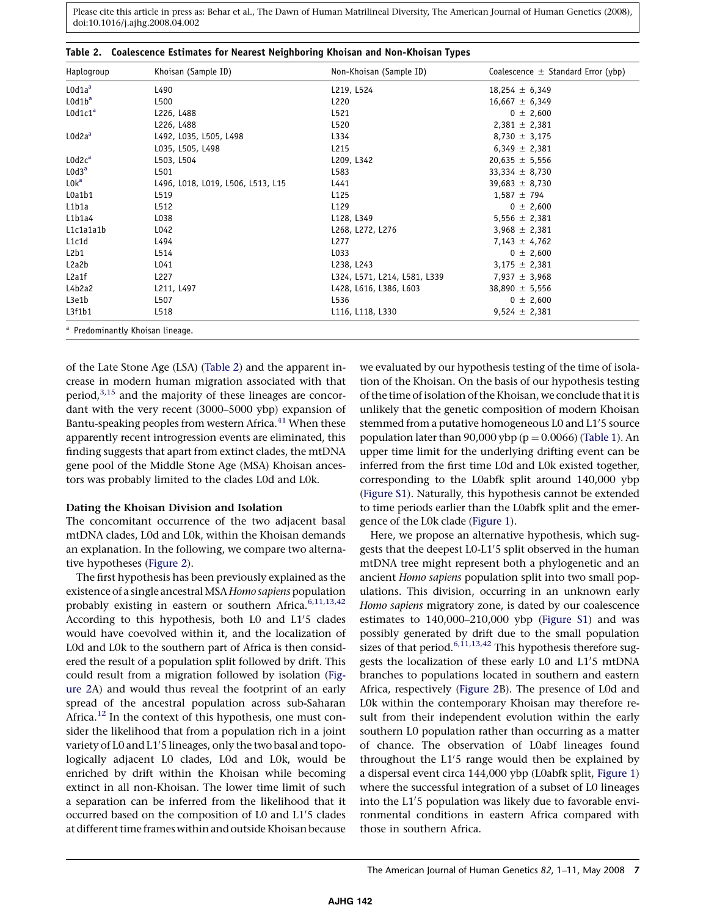| Haplogroup                                  | Khoisan (Sample ID)               | Non-Khoisan (Sample ID)      | Coalescence $\pm$ Standard Error (ybp) |
|---------------------------------------------|-----------------------------------|------------------------------|----------------------------------------|
| L0d1a <sup>a</sup>                          | L490                              | L219, L524                   | $18,254 \pm 6,349$                     |
| L0d1b <sup>a</sup>                          | L500                              | L220                         | $16,667 \pm 6,349$                     |
| L0d1c1 <sup>a</sup>                         | L226, L488                        | L521                         | $0 \pm 2,600$                          |
|                                             | L226, L488                        | L520                         | $2,381 \pm 2,381$                      |
| L0d2a <sup>a</sup>                          | L492, L035, L505, L498            | L334                         | $8,730 \pm 3,175$                      |
|                                             | L035, L505, L498                  | L215                         | $6,349 \pm 2,381$                      |
| L0d2c <sup>a</sup>                          | L503, L504                        | L209, L342                   | $20,635 \pm 5,556$                     |
| L0d3 <sup>a</sup>                           | L501                              | L583                         | 33,334 $\pm$ 8,730                     |
| L0kª                                        | L496, L018, L019, L506, L513, L15 | L441                         | $39,683 \pm 8,730$                     |
| L0a1b1                                      | L519                              | L125                         | $1,587 \pm 794$                        |
| L1b1a                                       | L512                              | L129                         | $0 \pm 2,600$                          |
| L1b1a4                                      | L038                              | L128, L349                   | 5,556 $\pm$ 2,381                      |
| L1c1a1a1b                                   | L042                              | L268, L272, L276             | $3,968 \pm 2,381$                      |
| L1c1d                                       | L494                              | L277                         | $7,143 \pm 4,762$                      |
| L2b1                                        | L514                              | L033                         | $0 \pm 2,600$                          |
| L2a2b                                       | L041                              | L238, L243                   | $3,175 \pm 2,381$                      |
| L2a1f                                       | L227                              | L324, L571, L214, L581, L339 | 7,937 $\pm$ 3,968                      |
| L4b2a2                                      | L211, L497                        | L428, L616, L386, L603       | 38,890 $\pm$ 5,556                     |
| L3e1b                                       | L507                              | L536                         | $0 \pm 2,600$                          |
| L3f1b1                                      | L518                              | L116, L118, L330             | $9,524 \pm 2,381$                      |
| <sup>a</sup> Predominantly Khoisan lineage. |                                   |                              |                                        |

<span id="page-6-0"></span>Table 2. Coalescence Estimates for Nearest Neighboring Khoisan and Non-Khoisan Types

of the Late Stone Age (LSA) (Table 2) and the apparent increase in modern human migration associated with that period, $3,15$  and the majority of these lineages are concordant with the very recent (3000–5000 ybp) expansion of Bantu-speaking peoples from western Africa. $^{41}$  $^{41}$  $^{41}$  When these apparently recent introgression events are eliminated, this finding suggests that apart from extinct clades, the mtDNA gene pool of the Middle Stone Age (MSA) Khoisan ancestors was probably limited to the clades L0d and L0k.

#### Dating the Khoisan Division and Isolation

The concomitant occurrence of the two adjacent basal mtDNA clades, L0d and L0k, within the Khoisan demands an explanation. In the following, we compare two alternative hypotheses ([Figure 2\)](#page-7-0).

The first hypothesis has been previously explained as the existence of a single ancestral MSA Homo sapiens population probably existing in eastern or southern Africa.<sup>[6,11,13,42](#page-9-0)</sup> According to this hypothesis, both L0 and L1'5 clades would have coevolved within it, and the localization of L0d and L0k to the southern part of Africa is then considered the result of a population split followed by drift. This could result from a migration followed by isolation ([Fig](#page-7-0)[ure 2A](#page-7-0)) and would thus reveal the footprint of an early spread of the ancestral population across sub-Saharan Africa.<sup>[12](#page-9-0)</sup> In the context of this hypothesis, one must consider the likelihood that from a population rich in a joint variety of L0 and L1'5 lineages, only the two basal and topologically adjacent L0 clades, L0d and L0k, would be enriched by drift within the Khoisan while becoming extinct in all non-Khoisan. The lower time limit of such a separation can be inferred from the likelihood that it occurred based on the composition of L0 and L1'5 clades at different time frames within and outside Khoisan because

we evaluated by our hypothesis testing of the time of isolation of the Khoisan. On the basis of our hypothesis testing of the time of isolation of the Khoisan, we conclude that it is unlikely that the genetic composition of modern Khoisan stemmed from a putative homogeneous L0 and L1'5 source population later than 90,000 ybp ( $p = 0.0066$ ) ([Table 1](#page-5-0)). An upper time limit for the underlying drifting event can be inferred from the first time L0d and L0k existed together, corresponding to the L0abfk split around 140,000 ybp (Figure S1). Naturally, this hypothesis cannot be extended to time periods earlier than the L0abfk split and the emergence of the L0k clade ([Figure 1](#page-1-0)).

Here, we propose an alternative hypothesis, which suggests that the deepest L0-L1'5 split observed in the human mtDNA tree might represent both a phylogenetic and an ancient Homo sapiens population split into two small populations. This division, occurring in an unknown early Homo sapiens migratory zone, is dated by our coalescence estimates to 140,000–210,000 ybp (Figure S1) and was possibly generated by drift due to the small population sizes of that period. $6,11,13,42$  This hypothesis therefore suggests the localization of these early L0 and L1'5 mtDNA branches to populations located in southern and eastern Africa, respectively ([Figure 2B](#page-7-0)). The presence of L0d and L0k within the contemporary Khoisan may therefore result from their independent evolution within the early southern L0 population rather than occurring as a matter of chance. The observation of L0abf lineages found throughout the L1'5 range would then be explained by a dispersal event circa 144,000 ybp (L0abfk split, [Figure 1\)](#page-1-0) where the successful integration of a subset of L0 lineages into the L1'5 population was likely due to favorable environmental conditions in eastern Africa compared with those in southern Africa.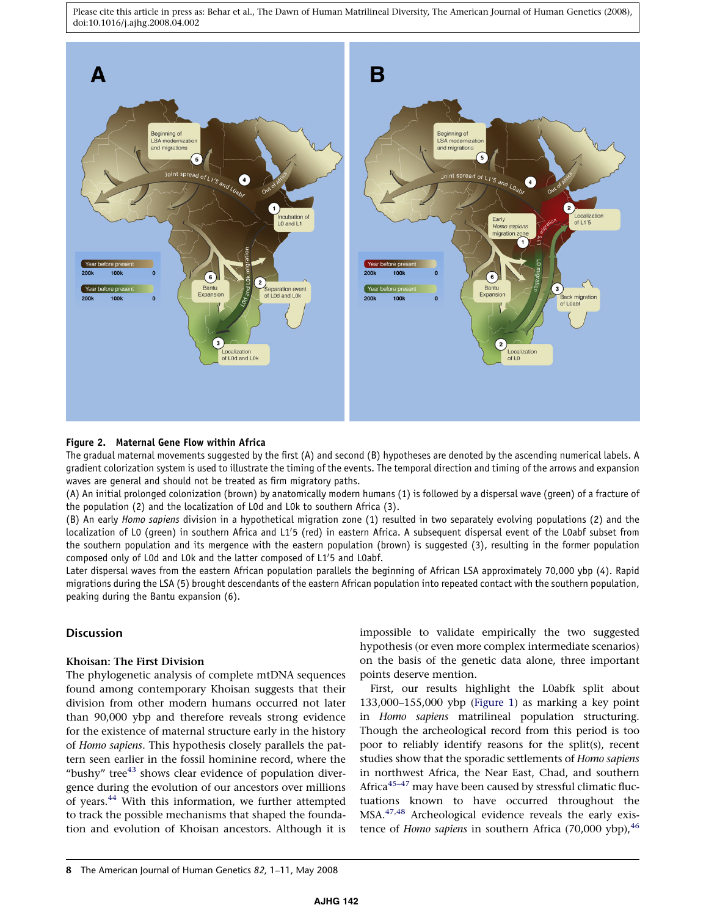<span id="page-7-0"></span>

#### Figure 2. Maternal Gene Flow within Africa

The gradual maternal movements suggested by the first (A) and second (B) hypotheses are denoted by the ascending numerical labels. A gradient colorization system is used to illustrate the timing of the events. The temporal direction and timing of the arrows and expansion waves are general and should not be treated as firm migratory paths.

(A) An initial prolonged colonization (brown) by anatomically modern humans (1) is followed by a dispersal wave (green) of a fracture of the population (2) and the localization of L0d and L0k to southern Africa (3).

(B) An early Homo sapiens division in a hypothetical migration zone (1) resulted in two separately evolving populations (2) and the localization of LO (green) in southern Africa and L1'5 (red) in eastern Africa. A subsequent dispersal event of the L0abf subset from the southern population and its mergence with the eastern population (brown) is suggested (3), resulting in the former population composed only of LOd and LOk and the latter composed of L1'5 and LOabf.

Later dispersal waves from the eastern African population parallels the beginning of African LSA approximately 70,000 ybp (4). Rapid migrations during the LSA (5) brought descendants of the eastern African population into repeated contact with the southern population, peaking during the Bantu expansion (6).

#### **Discussion**

#### Khoisan: The First Division

The phylogenetic analysis of complete mtDNA sequences found among contemporary Khoisan suggests that their division from other modern humans occurred not later than 90,000 ybp and therefore reveals strong evidence for the existence of maternal structure early in the history of Homo sapiens. This hypothesis closely parallels the pattern seen earlier in the fossil hominine record, where the "bushy" tree<sup>[43](#page-10-0)</sup> shows clear evidence of population divergence during the evolution of our ancestors over millions of years.<sup>[44](#page-10-0)</sup> With this information, we further attempted to track the possible mechanisms that shaped the foundation and evolution of Khoisan ancestors. Although it is

impossible to validate empirically the two suggested hypothesis (or even more complex intermediate scenarios) on the basis of the genetic data alone, three important points deserve mention.

First, our results highlight the L0abfk split about 133,000–155,000 ybp [\(Figure 1\)](#page-1-0) as marking a key point in Homo sapiens matrilineal population structuring. Though the archeological record from this period is too poor to reliably identify reasons for the split(s), recent studies show that the sporadic settlements of Homo sapiens in northwest Africa, the Near East, Chad, and southern Africa<sup>45-47</sup> may have been caused by stressful climatic fluctuations known to have occurred throughout the MSA[.47,48](#page-10-0) Archeological evidence reveals the early existence of Homo sapiens in southern Africa  $(70,000 \text{ ybp})$ , <sup>[46](#page-10-0)</sup>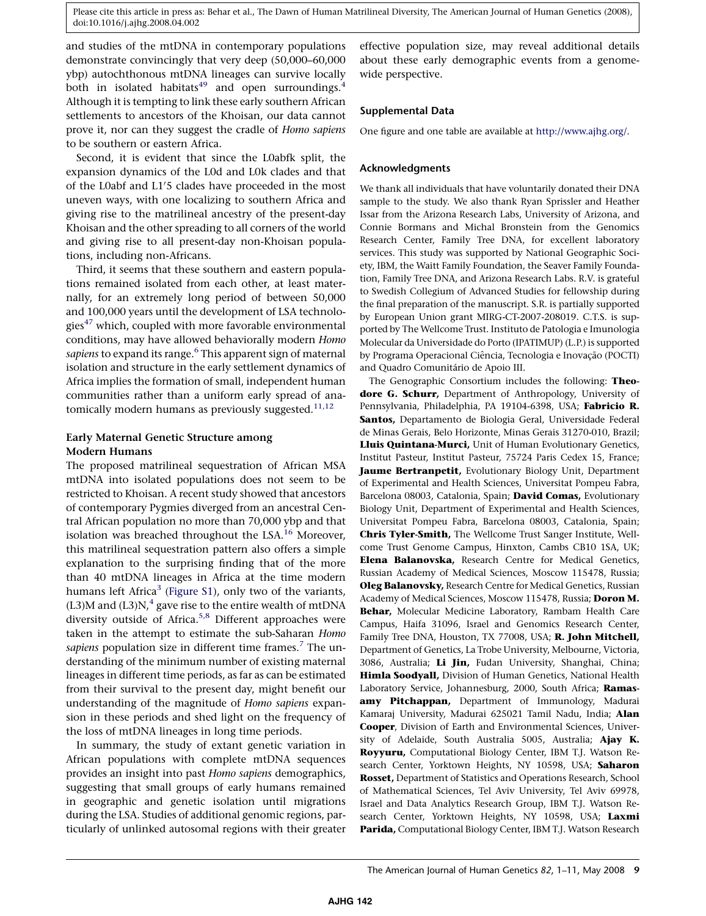and studies of the mtDNA in contemporary populations demonstrate convincingly that very deep (50,000–60,000 ybp) autochthonous mtDNA lineages can survive locally both in isolated habitats<sup>[49](#page-10-0)</sup> and open surroundings.<sup>[4](#page-9-0)</sup> Although it is tempting to link these early southern African settlements to ancestors of the Khoisan, our data cannot prove it, nor can they suggest the cradle of Homo sapiens to be southern or eastern Africa.

Second, it is evident that since the L0abfk split, the expansion dynamics of the L0d and L0k clades and that of the L0abf and L1'5 clades have proceeded in the most uneven ways, with one localizing to southern Africa and giving rise to the matrilineal ancestry of the present-day Khoisan and the other spreading to all corners of the world and giving rise to all present-day non-Khoisan populations, including non-Africans.

Third, it seems that these southern and eastern populations remained isolated from each other, at least maternally, for an extremely long period of between 50,000 and 100,000 years until the development of LSA technolo-gies<sup>[47](#page-10-0)</sup> which, coupled with more favorable environmental conditions, may have allowed behaviorally modern Homo sapiens to expand its range.<sup>[6](#page-9-0)</sup> This apparent sign of maternal isolation and structure in the early settlement dynamics of Africa implies the formation of small, independent human communities rather than a uniform early spread of anatomically modern humans as previously suggested. $11,12$ 

# Early Maternal Genetic Structure among Modern Humans

The proposed matrilineal sequestration of African MSA mtDNA into isolated populations does not seem to be restricted to Khoisan. A recent study showed that ancestors of contemporary Pygmies diverged from an ancestral Central African population no more than 70,000 ybp and that isolation was breached throughout the LSA.<sup>[16](#page-9-0)</sup> Moreover, this matrilineal sequestration pattern also offers a simple explanation to the surprising finding that of the more than 40 mtDNA lineages in Africa at the time modern humans left Africa<sup>3</sup> (Figure S1), only two of the variants,  $(L3)$ M and  $(L3)N<sup>4</sup>$  $(L3)N<sup>4</sup>$  $(L3)N<sup>4</sup>$  gave rise to the entire wealth of mtDNA diversity outside of Africa.<sup>[5,8](#page-9-0)</sup> Different approaches were taken in the attempt to estimate the sub-Saharan Homo sapiens population size in different time frames.<sup>[7](#page-9-0)</sup> The understanding of the minimum number of existing maternal lineages in different time periods, as far as can be estimated from their survival to the present day, might benefit our understanding of the magnitude of Homo sapiens expansion in these periods and shed light on the frequency of the loss of mtDNA lineages in long time periods.

In summary, the study of extant genetic variation in African populations with complete mtDNA sequences provides an insight into past Homo sapiens demographics, suggesting that small groups of early humans remained in geographic and genetic isolation until migrations during the LSA. Studies of additional genomic regions, particularly of unlinked autosomal regions with their greater

effective population size, may reveal additional details about these early demographic events from a genomewide perspective.

# Supplemental Data

One figure and one table are available at [http://www.ajhg.org/.](http://www.ajhg.org)

# Acknowledgments

We thank all individuals that have voluntarily donated their DNA sample to the study. We also thank Ryan Sprissler and Heather Issar from the Arizona Research Labs, University of Arizona, and Connie Bormans and Michal Bronstein from the Genomics Research Center, Family Tree DNA, for excellent laboratory services. This study was supported by National Geographic Society, IBM, the Waitt Family Foundation, the Seaver Family Foundation, Family Tree DNA, and Arizona Research Labs. R.V. is grateful to Swedish Collegium of Advanced Studies for fellowship during the final preparation of the manuscript. S.R. is partially supported by European Union grant MIRG-CT-2007-208019. C.T.S. is supported by The Wellcome Trust. Instituto de Patologia e Imunologia Molecular da Universidade do Porto (IPATIMUP) (L.P.) is supported by Programa Operacional Ciência, Tecnologia e Inovação (POCTI) and Quadro Comunitário de Apoio III.

The Genographic Consortium includes the following: Theodore G. Schurr, Department of Anthropology, University of Pennsylvania, Philadelphia, PA 19104-6398, USA; Fabricio R. Santos, Departamento de Biologia Geral, Universidade Federal de Minas Gerais, Belo Horizonte, Minas Gerais 31270-010, Brazil; Lluis Quintana-Murci, Unit of Human Evolutionary Genetics, Institut Pasteur, Institut Pasteur, 75724 Paris Cedex 15, France; Jaume Bertranpetit, Evolutionary Biology Unit, Department of Experimental and Health Sciences, Universitat Pompeu Fabra, Barcelona 08003, Catalonia, Spain; David Comas, Evolutionary Biology Unit, Department of Experimental and Health Sciences, Universitat Pompeu Fabra, Barcelona 08003, Catalonia, Spain; Chris Tyler-Smith, The Wellcome Trust Sanger Institute, Wellcome Trust Genome Campus, Hinxton, Cambs CB10 1SA, UK; Elena Balanovska, Research Centre for Medical Genetics, Russian Academy of Medical Sciences, Moscow 115478, Russia; Oleg Balanovsky, Research Centre for Medical Genetics, Russian Academy of Medical Sciences, Moscow 115478, Russia; Doron M. Behar, Molecular Medicine Laboratory, Rambam Health Care Campus, Haifa 31096, Israel and Genomics Research Center, Family Tree DNA, Houston, TX 77008, USA; R. John Mitchell, Department of Genetics, La Trobe University, Melbourne, Victoria, 3086, Australia; Li Jin, Fudan University, Shanghai, China; Himla Soodyall, Division of Human Genetics, National Health Laboratory Service, Johannesburg, 2000, South Africa; Ramasamy Pitchappan, Department of Immunology, Madurai Kamaraj University, Madurai 625021 Tamil Nadu, India; Alan Cooper, Division of Earth and Environmental Sciences, University of Adelaide, South Australia 5005, Australia; Ajay K. Royyuru, Computational Biology Center, IBM T.J. Watson Research Center, Yorktown Heights, NY 10598, USA; Saharon Rosset, Department of Statistics and Operations Research, School of Mathematical Sciences, Tel Aviv University, Tel Aviv 69978, Israel and Data Analytics Research Group, IBM T.J. Watson Research Center, Yorktown Heights, NY 10598, USA; Laxmi Parida, Computational Biology Center, IBM T.J. Watson Research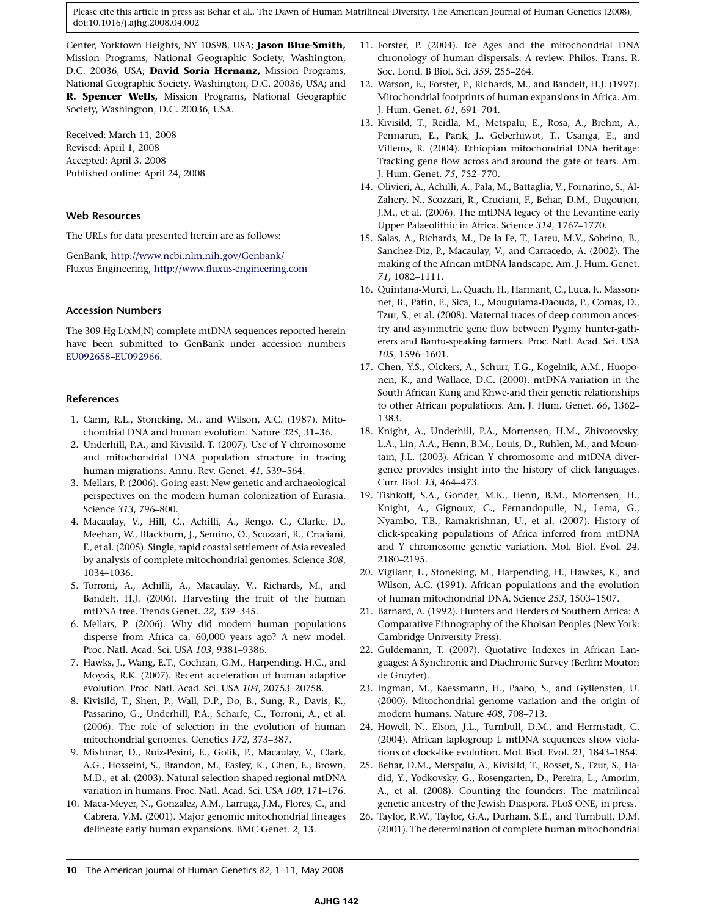<span id="page-9-0"></span>Center, Yorktown Heights, NY 10598, USA; Jason Blue-Smith, Mission Programs, National Geographic Society, Washington, D.C. 20036, USA; David Soria Hernanz, Mission Programs, National Geographic Society, Washington, D.C. 20036, USA; and R. Spencer Wells, Mission Programs, National Geographic Society, Washington, D.C. 20036, USA.

Received: March 11, 2008 Revised: April 1, 2008 Accepted: April 3, 2008 Published online: April 24, 2008

#### Web Resources

The URLs for data presented herein are as follows:

GenBank, <http://www.ncbi.nlm.nih.gov/Genbank/> Fluxus Engineering, <http://www.fluxus-engineering.com>

# Accession Numbers

The 309 Hg L(xM,N) complete mtDNA sequences reported herein have been submitted to GenBank under accession numbers [EU092658–EU092966](www.ncbi.nlm.nih.gov).

#### References

- 1. Cann, R.L., Stoneking, M., and Wilson, A.C. (1987). Mitochondrial DNA and human evolution. Nature 325, 31–36.
- 2. Underhill, P.A., and Kivisild, T. (2007). Use of Y chromosome and mitochondrial DNA population structure in tracing human migrations. Annu. Rev. Genet. 41, 539–564.
- 3. Mellars, P. (2006). Going east: New genetic and archaeological perspectives on the modern human colonization of Eurasia. Science 313, 796–800.
- 4. Macaulay, V., Hill, C., Achilli, A., Rengo, C., Clarke, D., Meehan, W., Blackburn, J., Semino, O., Scozzari, R., Cruciani, F., et al. (2005). Single, rapid coastal settlement of Asia revealed by analysis of complete mitochondrial genomes. Science 308, 1034–1036.
- 5. Torroni, A., Achilli, A., Macaulay, V., Richards, M., and Bandelt, H.J. (2006). Harvesting the fruit of the human mtDNA tree. Trends Genet. 22, 339–345.
- 6. Mellars, P. (2006). Why did modern human populations disperse from Africa ca. 60,000 years ago? A new model. Proc. Natl. Acad. Sci. USA 103, 9381–9386.
- 7. Hawks, J., Wang, E.T., Cochran, G.M., Harpending, H.C., and Moyzis, R.K. (2007). Recent acceleration of human adaptive evolution. Proc. Natl. Acad. Sci. USA 104, 20753–20758.
- 8. Kivisild, T., Shen, P., Wall, D.P., Do, B., Sung, R., Davis, K., Passarino, G., Underhill, P.A., Scharfe, C., Torroni, A., et al. (2006). The role of selection in the evolution of human mitochondrial genomes. Genetics 172, 373–387.
- 9. Mishmar, D., Ruiz-Pesini, E., Golik, P., Macaulay, V., Clark, A.G., Hosseini, S., Brandon, M., Easley, K., Chen, E., Brown, M.D., et al. (2003). Natural selection shaped regional mtDNA variation in humans. Proc. Natl. Acad. Sci. USA 100, 171–176.
- 10. Maca-Meyer, N., Gonzalez, A.M., Larruga, J.M., Flores, C., and Cabrera, V.M. (2001). Major genomic mitochondrial lineages delineate early human expansions. BMC Genet. 2, 13.
- 11. Forster, P. (2004). Ice Ages and the mitochondrial DNA chronology of human dispersals: A review. Philos. Trans. R. Soc. Lond. B Biol. Sci. 359, 255–264.
- 12. Watson, E., Forster, P., Richards, M., and Bandelt, H.J. (1997). Mitochondrial footprints of human expansions in Africa. Am. J. Hum. Genet. 61, 691–704.
- 13. Kivisild, T., Reidla, M., Metspalu, E., Rosa, A., Brehm, A., Pennarun, E., Parik, J., Geberhiwot, T., Usanga, E., and Villems, R. (2004). Ethiopian mitochondrial DNA heritage: Tracking gene flow across and around the gate of tears. Am. J. Hum. Genet. 75, 752–770.
- 14. Olivieri, A., Achilli, A., Pala, M., Battaglia, V., Fornarino, S., Al-Zahery, N., Scozzari, R., Cruciani, F., Behar, D.M., Dugoujon, J.M., et al. (2006). The mtDNA legacy of the Levantine early Upper Palaeolithic in Africa. Science 314, 1767–1770.
- 15. Salas, A., Richards, M., De la Fe, T., Lareu, M.V., Sobrino, B., Sanchez-Diz, P., Macaulay, V., and Carracedo, A. (2002). The making of the African mtDNA landscape. Am. J. Hum. Genet. 71, 1082–1111.
- 16. Quintana-Murci, L., Quach, H., Harmant, C., Luca, F., Massonnet, B., Patin, E., Sica, L., Mouguiama-Daouda, P., Comas, D., Tzur, S., et al. (2008). Maternal traces of deep common ancestry and asymmetric gene flow between Pygmy hunter-gatherers and Bantu-speaking farmers. Proc. Natl. Acad. Sci. USA 105, 1596–1601.
- 17. Chen, Y.S., Olckers, A., Schurr, T.G., Kogelnik, A.M., Huoponen, K., and Wallace, D.C. (2000). mtDNA variation in the South African Kung and Khwe-and their genetic relationships to other African populations. Am. J. Hum. Genet. 66, 1362– 1383.
- 18. Knight, A., Underhill, P.A., Mortensen, H.M., Zhivotovsky, L.A., Lin, A.A., Henn, B.M., Louis, D., Ruhlen, M., and Mountain, J.L. (2003). African Y chromosome and mtDNA divergence provides insight into the history of click languages. Curr. Biol. 13, 464–473.
- 19. Tishkoff, S.A., Gonder, M.K., Henn, B.M., Mortensen, H., Knight, A., Gignoux, C., Fernandopulle, N., Lema, G., Nyambo, T.B., Ramakrishnan, U., et al. (2007). History of click-speaking populations of Africa inferred from mtDNA and Y chromosome genetic variation. Mol. Biol. Evol. 24, 2180–2195.
- 20. Vigilant, L., Stoneking, M., Harpending, H., Hawkes, K., and Wilson, A.C. (1991). African populations and the evolution of human mitochondrial DNA. Science 253, 1503–1507.
- 21. Barnard, A. (1992). Hunters and Herders of Southern Africa: A Comparative Ethnography of the Khoisan Peoples (New York: Cambridge University Press).
- 22. Guldemann, T. (2007). Quotative Indexes in African Languages: A Synchronic and Diachronic Survey (Berlin: Mouton de Gruyter).
- 23. Ingman, M., Kaessmann, H., Paabo, S., and Gyllensten, U. (2000). Mitochondrial genome variation and the origin of modern humans. Nature 408, 708–713.
- 24. Howell, N., Elson, J.L., Turnbull, D.M., and Herrnstadt, C. (2004). African laplogroup L mtDNA sequences show violations of clock-like evolution. Mol. Biol. Evol. 21, 1843–1854.
- 25. Behar, D.M., Metspalu, A., Kivisild, T., Rosset, S., Tzur, S., Hadid, Y., Yodkovsky, G., Rosengarten, D., Pereira, L., Amorim, A., et al. (2008). Counting the founders: The matrilineal genetic ancestry of the Jewish Diaspora. PLoS ONE, in press.
- 26. Taylor, R.W., Taylor, G.A., Durham, S.E., and Turnbull, D.M. (2001). The determination of complete human mitochondrial

<sup>10</sup> The American Journal of Human Genetics 82, 1–11, May 2008